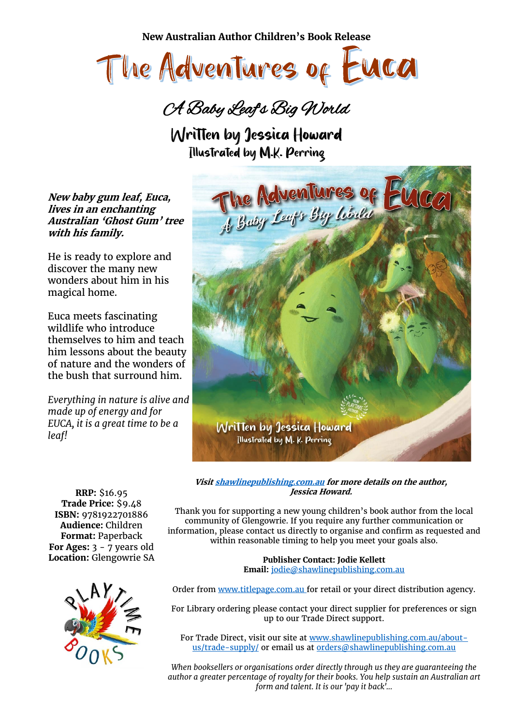**New Australian Author Children's Book Release**



A Baby Leaf's Big World

Written by Jessica Howard Illustrated by M.K. Perring

**New baby gum leaf, Euca, lives in an enchanting Australian 'Ghost Gum' tree with his family.**

He is ready to explore and discover the many new wonders about him in his magical home.

Euca meets fascinating wildlife who introduce themselves to him and teach him lessons about the beauty of nature and the wonders of the bush that surround him.

*Everything in nature is alive and made up of energy and for EUCA, it is a great time to be a leaf!*



**RRP:** \$16.95 **Trade Price:** \$9.48 **ISBN:** 9781922701886 **Audience:** Children **Format:** Paperback **For Ages:** 3 - 7 years old **Location:** Glengowrie SA



**Jessica Howard.** Thank you for supporting a new young children's book author from the local

**Visi[t shawlinepublishing.com.au](https://www.shawlinepublishing.com.au/our-titles/childrens-books/display/181-the-adventures-of-euca...a-baby-leafand%2339%3Bs-big-world) for more details on the author,** 

community of Glengowrie. If you require any further communication or information, please contact us directly to organise and confirm as requested and within reasonable timing to help you meet your goals also.

> **Publisher Contact: Jodie Kellett Email:** [jodie@shawlinepublishing.com.au](mailto:jodie@shawlinepublishing.com.au)

Order from [www.titlepage.com.au](http://www.titlepage.com.au/) for retail or your direct distribution agency.

For Library ordering please contact your direct supplier for preferences or sign up to our Trade Direct support.

For Trade Direct, visit our site at [www.shawlinepublishing.com.au/about](http://www.shawlinepublishing.com.au/about-us/trade-supply/)[us/trade-supply/](http://www.shawlinepublishing.com.au/about-us/trade-supply/) or email us at [orders@shawlinepublishing.com.au](mailto:orders@shawlinepublishing.com.au)

*When booksellers or organisations order directly through us they are guaranteeing the author a greater percentage of royalty for their books. You help sustain an Australian art form and talent. It is our 'pay it back'...*